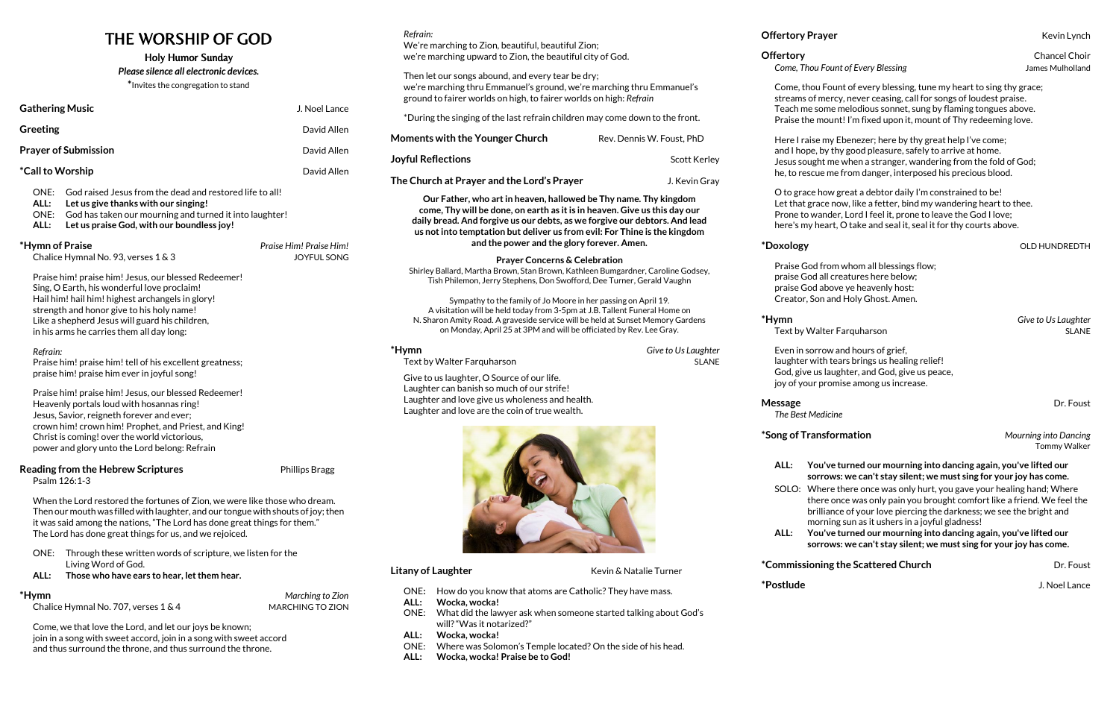# THE WORSHIP OF GOD

## Holy Humor Sunday

*Please silence all electronic devices.* **\***Invites the congregation to stand

| <b>Gathering Music</b>      | J. Noel Lance |
|-----------------------------|---------------|
| Greeting                    | David Allen   |
| <b>Prayer of Submission</b> | David Allen   |
| <i>*</i> Call to Worship    | David Allen   |
|                             |               |

ONE: God raised Jesus from the dead and restored life to all!

- **ALL: Let us give thanks with our singing!**
- ONE: God has taken our mourning and turned it into laughter!
- **ALL: Let us praise God, with our boundless joy!**

## **\*Hymn of Praise** *Praise Him! Praise Him!*

Chalice Hymnal No. 93, verses 1 & 3 JOYFUL SONG

Praise him! praise him! Jesus, our blessed Redeemer! Sing, O Earth, his wonderful love proclaim! Hail him! hail him! highest archangels in glory! strength and honor give to his holy name! Like a shepherd Jesus will guard his children, in his arms he carries them all day long:

## *Refrain:*

Praise him! praise him! tell of his excellent greatness; praise him! praise him ever in joyful song!

Praise him! praise him! Jesus, our blessed Redeemer! Heavenly portals loud with hosannas ring! Jesus, Savior, reigneth forever and ever; crown him! crown him! Prophet, and Priest, and King! Christ is coming! over the world victorious, power and glory unto the Lord belong: Refrain

## **Reading from the Hebrew Scriptures Example 20 Finallips Bragg Phillips Bragg**

Psalm 126:1-3

When the Lord restored the fortunes of Zion, we were like those who dream. Then our mouth was filled with laughter, and our tongue with shouts of joy; then it was said among the nations, "The Lord has done great things for them." The Lord has done great things for us, and we rejoiced.

- ONE: Through these written words of scripture, we listen for the Living Word of God.
- **ALL: Those who have ears to hear, let them hear.**

**\*Hymn** *Give to Us Laughter* Text by Walter Farquharson SLANE

## **\*Hymn** *Marching to Zion*

Chalice Hymnal No. 707, verses 1 & 4 MARCHING TO ZION

Come, we that love the Lord, and let our joys be known; join in a song with sweet accord, join in a song with sweet accord and thus surround the throne, and thus surround the throne.

## *Refrain:*

We're marching to Zion, beautiful, beautiful Zion; we're marching upward to Zion, the beautiful city of God.

Then let our songs abound, and every tear be dry; we're marching thru Emmanuel's ground, we're marching thru Emmanuel's ground to fairer worlds on high, to fairer worlds on high: *Refrain*

\*During the singing of the last refrain children may come down to the front.

**Moments with the Younger Church**  Rev. Dennis W. Foust, PhD

**Joyful Reflections Scott Kerley Scott Kerley** 

**The Church at Prayer and the Lord's Prayer** J. Kevin Gray

**\*Hymn** *Give to Us Laughter* Text by Walter Farquharson SLANE

**Message** Dr. Foust*i* **Dr. Foust** *The Best Medicine*

**Our Father, who art in heaven, hallowed be Thy name. Thy kingdom come, Thy will be done, on earth as it is in heaven. Give us this day our daily bread. And forgive us our debts, as we forgive our debtors. And lead us not into temptation but deliver us from evil: For Thine is the kingdom and the power and the glory forever. Amen.**

**Prayer Concerns & Celebration** Shirley Ballard, Martha Brown, Stan Brown, Kathleen Bumgardner, Caroline Godsey,

Tish Philemon, Jerry Stephens, Don Swofford, Dee Turner, Gerald Vaughn Sympathy to the family of Jo Moore in her passing on April 19. A visitation will be held today from 3-5pm at J.B. Tallent Funeral Home on N. Sharon Amity Road. A graveside service will be held at Sunset Memory Gardens

on Monday, April 25 at 3PM and will be officiated by Rev. Lee Gray.

Give to us laughter, O Source of our life. Laughter can banish so much of our strife! Laughter and love give us wholeness and health. Laughter and love are the coin of true wealth.

- ONE**:** How do you know that atoms are Catholic? They have mass.
- **ALL: Wocka, wocka!**
- will?"Was it notarized?"
- ONE: What did the lawyer ask when someone started talking about God's
- 
- 

### **Come, Thou Fount of Every Blessing Come and Science Come Science Mulholland**

## $*$ **Doxology bidding the contract of the contract of the contract of the contract of the contract of the contract of the contract of the contract of the contract of the contract of the contract of the contract of the con**

**ALL: Wocka, wocka!**

- ONE: Where was Solomon's Temple located? On the side of his head.
- **ALL: Wocka, wocka! Praise be to God!**

**Offertory** Chancel Choir

Come, thou Fount of every blessing, tune my heart to sing thy grace; streams of mercy, never ceasing, call for songs of loudest praise. Teach me some melodious sonnet, sung by flaming tongues above. Praise the mount! I'm fixed upon it, mount of Thy redeeming love.

Here I raise my Ebenezer; here by thy great help I've come; and I hope, by thy good pleasure, safely to arrive at home. Jesus sought me when a stranger, wandering from the fold of God; he, to rescue me from danger, interposed his precious blood.

O to grace how great a debtor daily I'm constrained to be! Let that grace now, like a fetter, bind my wandering heart to thee. Prone to wander, Lord I feel it, prone to leave the God I love; here's my heart, O take and seal it, seal it for thy courts above.

Praise God from whom all blessings flow; praise God all creatures here below; praise God above ye heavenly host: Creator, Son and Holy Ghost. Amen.

**Litany of Laughter Compared Acts Kevin & Natalie Turner** 

Even in sorrow and hours of grief, laughter with tears brings us healing relief! God, give us laughter, and God, give us peace, joy of your promise among us increase.

## **\*Song of Transformation** *Mourning into Dancing*

Tommy Walker

**ALL: You've turned our mourning into dancing again, you've lifted our sorrows: we can't stay silent; we must sing for your joy has come.**

SOLO: Where there once was only hurt, you gave your healing hand; Where there once was only pain you brought comfort like a friend. We feel the brilliance of your love piercing the darkness; we see the bright and morning sun as it ushers in a joyful gladness!

**ALL: You've turned our mourning into dancing again, you've lifted our sorrows: we can't stay silent; we must sing for your joy has come.**

**\*Commissioning the Scattered Church** The Scatter Dr. Foust

**Offertory Prayer Contract Contract Contract Contract Contract Contract Contract Contract Contract Contract Contract Contract Contract Contract Contract Contract Contract Contract Contract Contract Contract Contract Con** 

**\*Postlude** J. Noel Lance